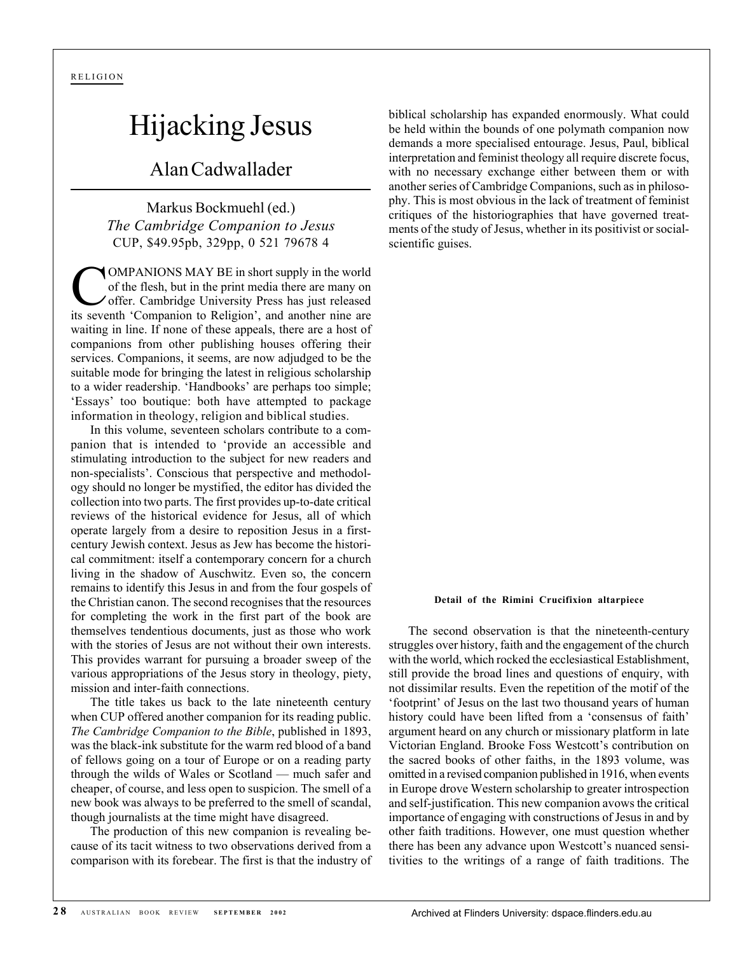## Hijacking Jesus

## Alan Cadwallader

Markus Bockmuehl (ed.) *The Cambridge Companion to Jesus* CUP, \$49.95pb, 329pp, 0 521 79678 4

COMPANIONS MAY BE in short supply in the world of the flesh, but in the print media there are many on offer. Cambridge University Press has just released its seventh 'Companion to Religion', and another nine are waiting in line. If none of these appeals, there are a host of companions from other publishing houses offering their services. Companions, it seems, are now adjudged to be the suitable mode for bringing the latest in religious scholarship to a wider readership. 'Handbooks' are perhaps too simple; 'Essays' too boutique: both have attempted to package information in theology, religion and biblical studies.

In this volume, seventeen scholars contribute to a companion that is intended to 'provide an accessible and stimulating introduction to the subject for new readers and non-specialists'. Conscious that perspective and methodology should no longer be mystified, the editor has divided the collection into two parts. The first provides up-to-date critical reviews of the historical evidence for Jesus, all of which operate largely from a desire to reposition Jesus in a firstcentury Jewish context. Jesus as Jew has become the historical commitment: itself a contemporary concern for a church living in the shadow of Auschwitz. Even so, the concern remains to identify this Jesus in and from the four gospels of the Christian canon. The second recognises that the resources for completing the work in the first part of the book are themselves tendentious documents, just as those who work with the stories of Jesus are not without their own interests. This provides warrant for pursuing a broader sweep of the various appropriations of the Jesus story in theology, piety, mission and inter-faith connections.

The title takes us back to the late nineteenth century when CUP offered another companion for its reading public. *The Cambridge Companion to the Bible*, published in 1893, was the black-ink substitute for the warm red blood of a band of fellows going on a tour of Europe or on a reading party through the wilds of Wales or Scotland — much safer and cheaper, of course, and less open to suspicion. The smell of a new book was always to be preferred to the smell of scandal, though journalists at the time might have disagreed.

The production of this new companion is revealing because of its tacit witness to two observations derived from a comparison with its forebear. The first is that the industry of biblical scholarship has expanded enormously. What could be held within the bounds of one polymath companion now demands a more specialised entourage. Jesus, Paul, biblical interpretation and feminist theology all require discrete focus, with no necessary exchange either between them or with another series of Cambridge Companions, such as in philosophy. This is most obvious in the lack of treatment of feminist critiques of the historiographies that have governed treatments of the study of Jesus, whether in its positivist or socialscientific guises.

## **Detail of the Rimini Crucifixion altarpiece**

The second observation is that the nineteenth-century struggles over history, faith and the engagement of the church with the world, which rocked the ecclesiastical Establishment, still provide the broad lines and questions of enquiry, with not dissimilar results. Even the repetition of the motif of the 'footprint' of Jesus on the last two thousand years of human history could have been lifted from a 'consensus of faith' argument heard on any church or missionary platform in late Victorian England. Brooke Foss Westcott's contribution on the sacred books of other faiths, in the 1893 volume, was omitted in a revised companion published in 1916, when events in Europe drove Western scholarship to greater introspection and self-justification. This new companion avows the critical importance of engaging with constructions of Jesus in and by other faith traditions. However, one must question whether there has been any advance upon Westcott's nuanced sensitivities to the writings of a range of faith traditions. The